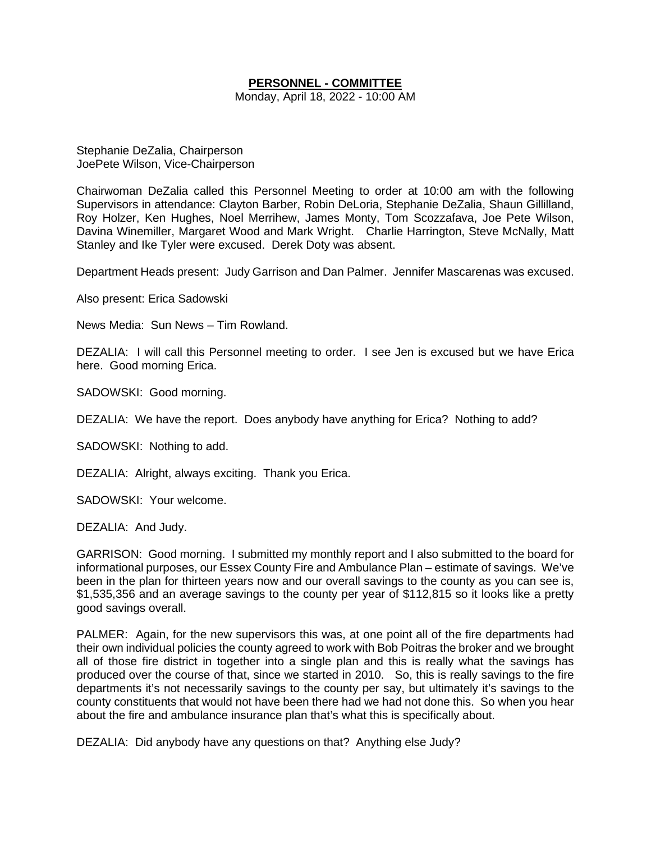## **PERSONNEL - COMMITTEE**

Monday, April 18, 2022 - 10:00 AM

Stephanie DeZalia, Chairperson JoePete Wilson, Vice-Chairperson

Chairwoman DeZalia called this Personnel Meeting to order at 10:00 am with the following Supervisors in attendance: Clayton Barber, Robin DeLoria, Stephanie DeZalia, Shaun Gillilland, Roy Holzer, Ken Hughes, Noel Merrihew, James Monty, Tom Scozzafava, Joe Pete Wilson, Davina Winemiller, Margaret Wood and Mark Wright. Charlie Harrington, Steve McNally, Matt Stanley and Ike Tyler were excused. Derek Doty was absent.

Department Heads present: Judy Garrison and Dan Palmer. Jennifer Mascarenas was excused.

Also present: Erica Sadowski

News Media: Sun News – Tim Rowland.

DEZALIA: I will call this Personnel meeting to order. I see Jen is excused but we have Erica here. Good morning Erica.

SADOWSKI: Good morning.

DEZALIA: We have the report. Does anybody have anything for Erica? Nothing to add?

SADOWSKI: Nothing to add.

DEZALIA: Alright, always exciting. Thank you Erica.

SADOWSKI: Your welcome.

DEZALIA: And Judy.

GARRISON: Good morning. I submitted my monthly report and I also submitted to the board for informational purposes, our Essex County Fire and Ambulance Plan – estimate of savings. We've been in the plan for thirteen years now and our overall savings to the county as you can see is, \$1,535,356 and an average savings to the county per year of \$112,815 so it looks like a pretty good savings overall.

PALMER: Again, for the new supervisors this was, at one point all of the fire departments had their own individual policies the county agreed to work with Bob Poitras the broker and we brought all of those fire district in together into a single plan and this is really what the savings has produced over the course of that, since we started in 2010. So, this is really savings to the fire departments it's not necessarily savings to the county per say, but ultimately it's savings to the county constituents that would not have been there had we had not done this. So when you hear about the fire and ambulance insurance plan that's what this is specifically about.

DEZALIA: Did anybody have any questions on that? Anything else Judy?